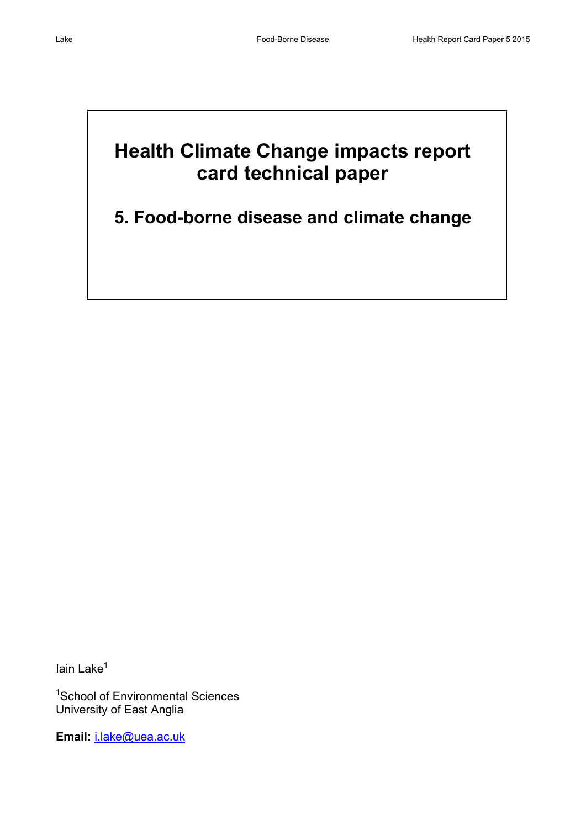# **Health Climate Change impacts report card technical paper**

# **5. Food-borne disease and climate change**

 $I$ ain Lake $<sup>1</sup>$ </sup>

<sup>1</sup>School of Environmental Sciences University of East Anglia

**Email:** [i.lake@uea.ac.uk](mailto:i.lake@uea.ac.uk)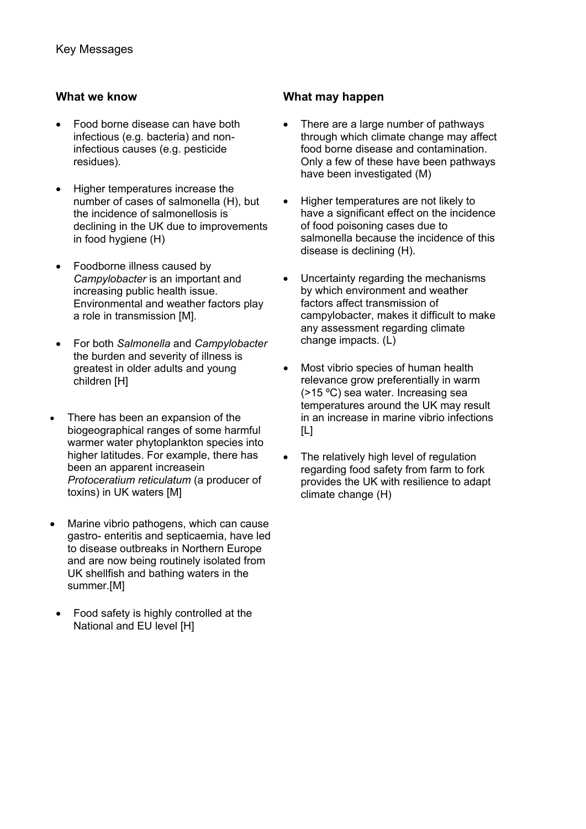- Food borne disease can have both infectious (e.g. bacteria) and noninfectious causes (e.g. pesticide residues).
- Higher temperatures increase the number of cases of salmonella (H), but the incidence of salmonellosis is declining in the UK due to improvements in food hygiene (H)
- Foodborne illness caused by *Campylobacter* is an important and increasing public health issue. Environmental and weather factors play a role in transmission [M].
- For both *Salmonella* and *Campylobacter* the burden and severity of illness is greatest in older adults and young children [H]
- There has been an expansion of the biogeographical ranges of some harmful warmer water phytoplankton species into higher latitudes. For example, there has been an apparent increasein *Protoceratium reticulatum* (a producer of toxins) in UK waters [M]
- Marine vibrio pathogens, which can cause gastro- enteritis and septicaemia, have led to disease outbreaks in Northern Europe and are now being routinely isolated from UK shellfish and bathing waters in the summer.[M]
- Food safety is highly controlled at the National and EU level [H]

# **What we know What may happen**

- There are a large number of pathways through which climate change may affect food borne disease and contamination. Only a few of these have been pathways have been investigated (M)
- Higher temperatures are not likely to have a significant effect on the incidence of food poisoning cases due to salmonella because the incidence of this disease is declining (H).
- Uncertainty regarding the mechanisms by which environment and weather factors affect transmission of campylobacter, makes it difficult to make any assessment regarding climate change impacts. (L)
- Most vibrio species of human health relevance grow preferentially in warm (>15 ºC) sea water. Increasing sea temperatures around the UK may result in an increase in marine vibrio infections  $[L]$
- The relatively high level of regulation regarding food safety from farm to fork provides the UK with resilience to adapt climate change (H)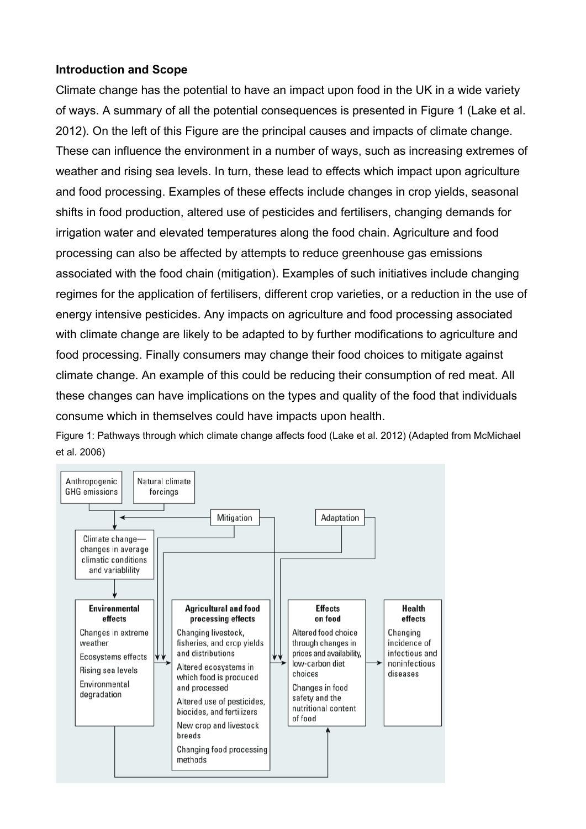# **Introduction and Scope**

Climate change has the potential to have an impact upon food in the UK in a wide variety of ways. A summary of all the potential consequences is presented in Figure 1 [\(Lake et al.](#page-17-0)  [2012\)](#page-17-0). On the left of this Figure are the principal causes and impacts of climate change. These can influence the environment in a number of ways, such as increasing extremes of weather and rising sea levels. In turn, these lead to effects which impact upon agriculture and food processing. Examples of these effects include changes in crop yields, seasonal shifts in food production, altered use of pesticides and fertilisers, changing demands for irrigation water and elevated temperatures along the food chain. Agriculture and food processing can also be affected by attempts to reduce greenhouse gas emissions associated with the food chain (mitigation). Examples of such initiatives include changing regimes for the application of fertilisers, different crop varieties, or a reduction in the use of energy intensive pesticides. Any impacts on agriculture and food processing associated with climate change are likely to be adapted to by further modifications to agriculture and food processing. Finally consumers may change their food choices to mitigate against climate change. An example of this could be reducing their consumption of red meat. All these changes can have implications on the types and quality of the food that individuals consume which in themselves could have impacts upon health.

Figure 1: Pathways through which climate change affects food [\(Lake et al. 2012\)](#page-17-0) [\(Adapted from McMichael](#page-17-1)  [et al. 2006\)](#page-17-1)

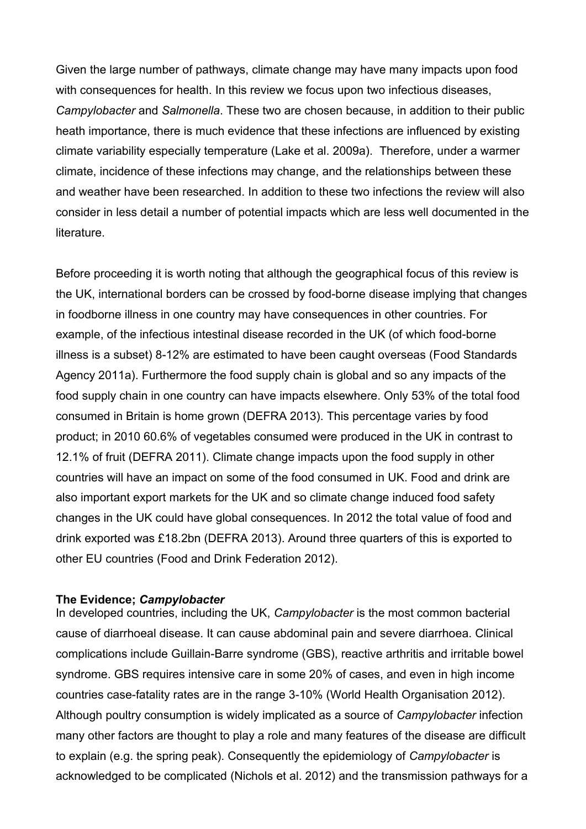Given the large number of pathways, climate change may have many impacts upon food with consequences for health. In this review we focus upon two infectious diseases, *Campylobacter* and *Salmonella*. These two are chosen because, in addition to their public heath importance, there is much evidence that these infections are influenced by existing climate variability especially temperature [\(Lake et al. 2009a\)](#page-17-2). Therefore, under a warmer climate, incidence of these infections may change, and the relationships between these and weather have been researched. In addition to these two infections the review will also consider in less detail a number of potential impacts which are less well documented in the **literature** 

Before proceeding it is worth noting that although the geographical focus of this review is the UK, international borders can be crossed by food-borne disease implying that changes in foodborne illness in one country may have consequences in other countries. For example, of the infectious intestinal disease recorded in the UK (of which food-borne illness is a subset) 8-12% are estimated to have been caught overseas [\(Food Standards](#page-16-0)  [Agency 2011a\)](#page-16-0). Furthermore the food supply chain is global and so any impacts of the food supply chain in one country can have impacts elsewhere. Only 53% of the total food consumed in Britain is home grown [\(DEFRA 2013\)](#page-16-1). This percentage varies by food product; in 2010 60.6% of vegetables consumed were produced in the UK in contrast to 12.1% of fruit [\(DEFRA 2011\)](#page-16-2). Climate change impacts upon the food supply in other countries will have an impact on some of the food consumed in UK. Food and drink are also important export markets for the UK and so climate change induced food safety changes in the UK could have global consequences. In 2012 the total value of food and drink exported was £18.2bn [\(DEFRA 2013\)](#page-16-1). Around three quarters of this is exported to other EU countries [\(Food and Drink Federation 2012\)](#page-16-3).

#### **The Evidence;** *Campylobacter*

In developed countries, including the UK, *Campylobacter* is the most common bacterial cause of diarrhoeal disease. It can cause abdominal pain and severe diarrhoea. Clinical complications include Guillain-Barre syndrome (GBS), reactive arthritis and irritable bowel syndrome. GBS requires intensive care in some 20% of cases, and even in high income countries case-fatality rates are in the range 3-10% [\(World Health Organisation 2012\)](#page-19-0). Although poultry consumption is widely implicated as a source of *Campylobacter* infection many other factors are thought to play a role and many features of the disease are difficult to explain (e.g. the spring peak). Consequently the epidemiology of *Campylobacter* is acknowledged to be complicated [\(Nichols et al. 2012\)](#page-18-0) and the transmission pathways for a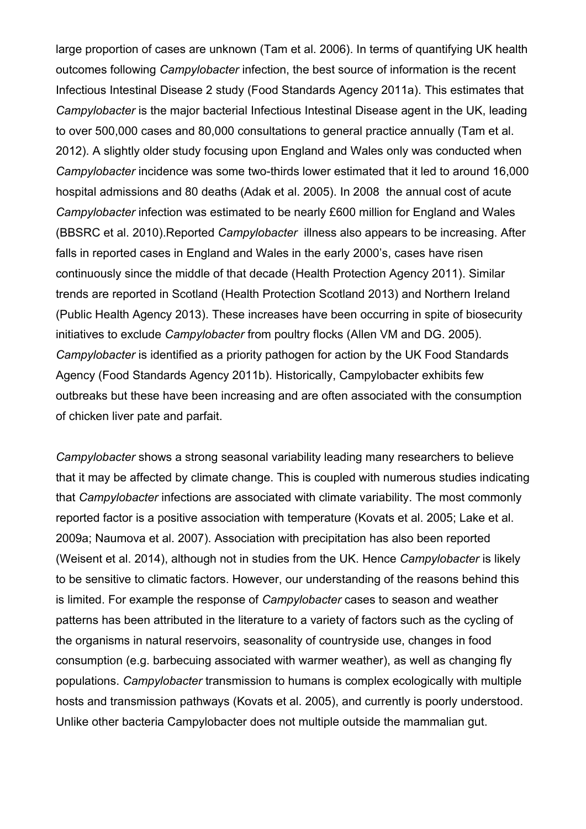large proportion of cases are unknown [\(Tam et al. 2006\)](#page-18-1). In terms of quantifying UK health outcomes following *Campylobacter* infection, the best source of information is the recent Infectious Intestinal Disease 2 study [\(Food Standards Agency 2011a\)](#page-16-0). This estimates that *Campylobacter* is the major bacterial Infectious Intestinal Disease agent in the UK, leading to over 500,000 cases and 80,000 consultations to general practice annually [\(Tam et al.](#page-18-2)  [2012\)](#page-18-2). A slightly older study focusing upon England and Wales only was conducted when *Campylobacter* incidence was some two-thirds lower estimated that it led to around 16,000 hospital admissions and 80 deaths [\(Adak et al. 2005\)](#page-15-0). In 2008 the annual cost of acute *Campylobacter* infection was estimated to be nearly £600 million for England and Wales [\(BBSRC et al. 2010\)](#page-15-1).Reported *Campylobacter* illness also appears to be increasing. After falls in reported cases in England and Wales in the early 2000's, cases have risen continuously since the middle of that decade [\(Health Protection Agency 2011\)](#page-16-4). Similar trends are reported in Scotland [\(Health Protection Scotland 2013\)](#page-16-5) and Northern Ireland [\(Public Health Agency 2013\)](#page-18-3). These increases have been occurring in spite of biosecurity initiatives to exclude *Campylobacter* from poultry flocks [\(Allen VM and DG. 2005\)](#page-15-2). *Campylobacter* is identified as a priority pathogen for action by the UK Food Standards Agency [\(Food Standards Agency 2011b\)](#page-16-6). Historically, Campylobacter exhibits few outbreaks but these have been increasing and are often associated with the consumption of chicken liver pate and parfait.

*Campylobacter* shows a strong seasonal variability leading many researchers to believe that it may be affected by climate change. This is coupled with numerous studies indicating that *Campylobacter* infections are associated with climate variability. The most commonly reported factor is a positive association with temperature [\(Kovats et al. 2005;](#page-17-3) [Lake et al.](#page-17-2)  [2009a;](#page-17-2) [Naumova et al. 2007\)](#page-17-4). Association with precipitation has also been reported [\(Weisent et al. 2014\)](#page-19-1), although not in studies from the UK. Hence *Campylobacter* is likely to be sensitive to climatic factors. However, our understanding of the reasons behind this is limited. For example the response of *Campylobacter* cases to season and weather patterns has been attributed in the literature to a variety of factors such as the cycling of the organisms in natural reservoirs, seasonality of countryside use, changes in food consumption (e.g. barbecuing associated with warmer weather), as well as changing fly populations. *Campylobacter* transmission to humans is complex ecologically with multiple hosts and transmission pathways [\(Kovats et al. 2005\)](#page-17-3), and currently is poorly understood. Unlike other bacteria Campylobacter does not multiple outside the mammalian gut.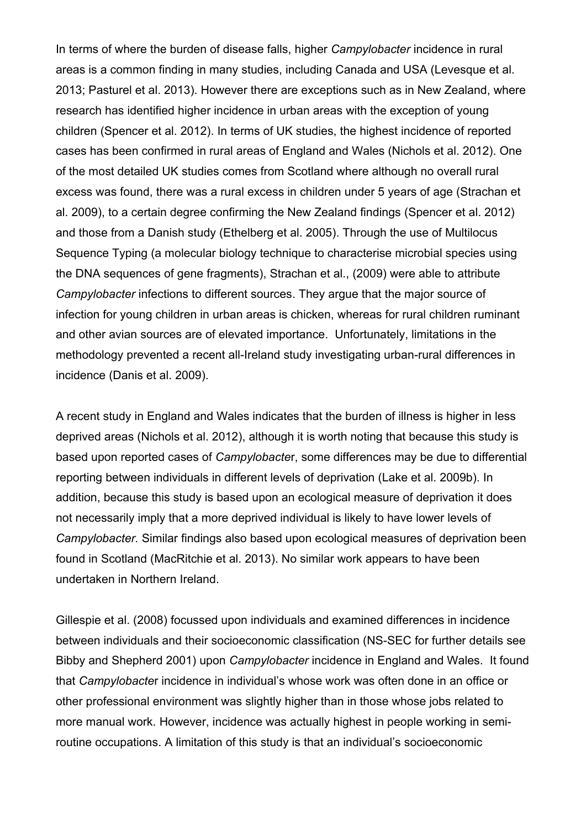In terms of where the burden of disease falls, higher *Campylobacter* incidence in rural areas is a common finding in many studies, including Canada and USA [\(Levesque et al.](#page-17-5)  [2013;](#page-17-5) [Pasturel et al. 2013\)](#page-18-4). However there are exceptions such as in New Zealand, where research has identified higher incidence in urban areas with the exception of young children [\(Spencer et al. 2012\)](#page-18-5). In terms of UK studies, the highest incidence of reported cases has been confirmed in rural areas of England and Wales [\(Nichols et al. 2012\)](#page-18-0). One of the most detailed UK studies comes from Scotland where although no overall rural excess was found, there was a rural excess in children under 5 years of age [\(Strachan et](#page-18-6)  [al. 2009\)](#page-18-6), to a certain degree confirming the New Zealand findings [\(Spencer et al. 2012\)](#page-18-5) and those from a Danish study [\(Ethelberg et al. 2005\)](#page-16-7). Through the use of Multilocus Sequence Typing (a molecular biology technique to characterise microbial species using the DNA sequences of gene fragments), Strachan et al., [\(2009\)](#page-18-6) were able to attribute *Campylobacter* infections to different sources. They argue that the major source of infection for young children in urban areas is chicken, whereas for rural children ruminant and other avian sources are of elevated importance. Unfortunately, limitations in the methodology prevented a recent all-Ireland study investigating urban-rural differences in incidence [\(Danis et al. 2009\)](#page-15-3).

A recent study in England and Wales indicates that the burden of illness is higher in less deprived areas [\(Nichols et al. 2012\)](#page-18-0), although it is worth noting that because this study is based upon reported cases of *Campylobacte*r, some differences may be due to differential reporting between individuals in different levels of deprivation [\(Lake et al. 2009b\)](#page-17-6). In addition, because this study is based upon an ecological measure of deprivation it does not necessarily imply that a more deprived individual is likely to have lower levels of *Campylobacter.* Similar findings also based upon ecological measures of deprivation been found in Scotland [\(MacRitchie et al. 2013\)](#page-17-7). No similar work appears to have been undertaken in Northern Ireland.

[Gillespie et al. \(2008\)](#page-16-8) focussed upon individuals and examined differences in incidence between individuals and their socioeconomic classification [\(NS-SEC for further details see](#page-15-4)  [Bibby and Shepherd 2001\)](#page-15-4) upon *Campylobacter* incidence in England and Wales. It found that *Campylobacte*r incidence in individual's whose work was often done in an office or other professional environment was slightly higher than in those whose jobs related to more manual work. However, incidence was actually highest in people working in semiroutine occupations. A limitation of this study is that an individual's socioeconomic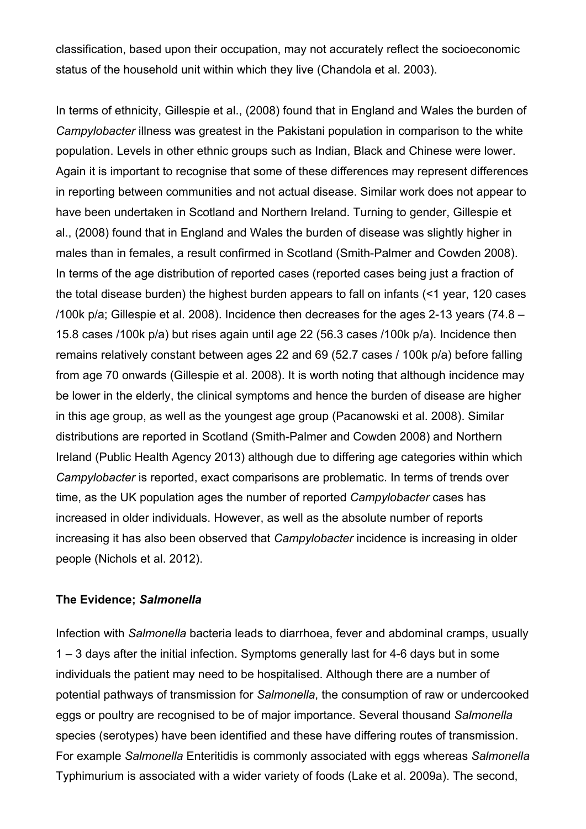classification, based upon their occupation, may not accurately reflect the socioeconomic status of the household unit within which they live [\(Chandola et al. 2003\)](#page-15-5).

In terms of ethnicity, Gillespie et al., [\(2008\)](#page-16-8) found that in England and Wales the burden of *Campylobacter* illness was greatest in the Pakistani population in comparison to the white population. Levels in other ethnic groups such as Indian, Black and Chinese were lower. Again it is important to recognise that some of these differences may represent differences in reporting between communities and not actual disease. Similar work does not appear to have been undertaken in Scotland and Northern Ireland. Turning to gender, Gillespie et al., [\(2008\)](#page-16-8) found that in England and Wales the burden of disease was slightly higher in males than in females, a result confirmed in Scotland [\(Smith-Palmer and Cowden 2008\)](#page-18-7). In terms of the age distribution of reported cases (reported cases being just a fraction of the total disease burden) the highest burden appears to fall on infants [\(<1 year, 120 cases](#page-16-8)  [/100k p/a; Gillespie et al. 2008\)](#page-16-8). Incidence then decreases for the ages 2-13 years (74.8 – 15.8 cases /100k p/a) but rises again until age 22 (56.3 cases /100k p/a). Incidence then remains relatively constant between ages 22 and 69 (52.7 cases / 100k p/a) before falling from age 70 onwards [\(Gillespie et al. 2008\)](#page-16-8). It is worth noting that although incidence may be lower in the elderly, the clinical symptoms and hence the burden of disease are higher in this age group, as well as the youngest age group [\(Pacanowski et al.](#page-18-8) 2008). Similar distributions are reported in Scotland [\(Smith-Palmer and Cowden 2008\)](#page-18-7) and Northern Ireland [\(Public Health Agency 2013\)](#page-18-3) although due to differing age categories within which *Campylobacter* is reported, exact comparisons are problematic. In terms of trends over time, as the UK population ages the number of reported *Campylobacter* cases has increased in older individuals. However, as well as the absolute number of reports increasing it has also been observed that *Campylobacter* incidence is increasing in older people [\(Nichols et al. 2012\)](#page-18-0).

#### **The Evidence;** *Salmonella*

Infection with *Salmonella* bacteria leads to diarrhoea, fever and abdominal cramps, usually 1 – 3 days after the initial infection. Symptoms generally last for 4-6 days but in some individuals the patient may need to be hospitalised. Although there are a number of potential pathways of transmission for *Salmonella*, the consumption of raw or undercooked eggs or poultry are recognised to be of major importance. Several thousand *Salmonella* species (serotypes) have been identified and these have differing routes of transmission. For example *Salmonella* Enteritidis is commonly associated with eggs whereas *Salmonella* Typhimurium is associated with a wider variety of foods [\(Lake et al. 2009a\)](#page-17-2). The second,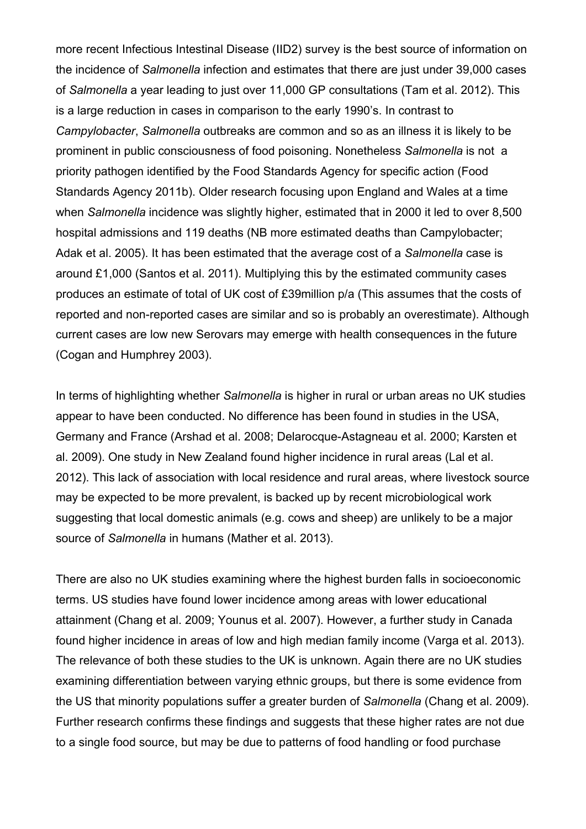more recent Infectious Intestinal Disease (IID2) survey is the best source of information on the incidence of *Salmonella* infection and estimates that there are just under 39,000 cases of *Salmonella* a year leading to just over 11,000 GP consultations [\(Tam et al. 2012\)](#page-18-2). This is a large reduction in cases in comparison to the early 1990's. In contrast to *Campylobacter*, *Salmonella* outbreaks are common and so as an illness it is likely to be prominent in public consciousness of food poisoning. Nonetheless *Salmonella* is not a priority pathogen identified by the Food Standards Agency for specific action [\(Food](#page-16-6)  [Standards Agency 2011b\)](#page-16-6). Older research focusing upon England and Wales at a time when *Salmonella* incidence was slightly higher, estimated that in 2000 it led to over 8,500 hospital admissions and 119 deaths [\(NB more estimated deaths than Campylobacter;](#page-15-0)  [Adak et al. 2005\)](#page-15-0). It has been estimated that the average cost of a *Salmonella* case is around £1,000 [\(Santos et al. 2011\)](#page-18-9). Multiplying this by the estimated community cases produces an estimate of total of UK cost of £39million p/a (This assumes that the costs of reported and non-reported cases are similar and so is probably an overestimate). Although current cases are low new Serovars may emerge with health consequences in the future [\(Cogan and Humphrey 2003\)](#page-15-6).

In terms of highlighting whether *Salmonella* is higher in rural or urban areas no UK studies appear to have been conducted. No difference has been found in studies in the USA, Germany and France [\(Arshad et al. 2008;](#page-15-7) [Delarocque-Astagneau et al. 2000;](#page-16-9) [Karsten et](#page-17-8)  [al. 2009\)](#page-17-8). One study in New Zealand found higher incidence in rural areas [\(Lal et al.](#page-17-9)  [2012\)](#page-17-9). This lack of association with local residence and rural areas, where livestock source may be expected to be more prevalent, is backed up by recent microbiological work suggesting that local domestic animals (e.g. cows and sheep) are unlikely to be a major source of *Salmonella* in humans [\(Mather et al. 2013\)](#page-17-10).

There are also no UK studies examining where the highest burden falls in socioeconomic terms. US studies have found lower incidence among areas with lower educational attainment [\(Chang et al. 2009;](#page-15-8) [Younus et](#page-19-2) al. 2007). However, a further study in Canada found higher incidence in areas of low and high median family income [\(Varga et al. 2013\)](#page-19-3). The relevance of both these studies to the UK is unknown. Again there are no UK studies examining differentiation between varying ethnic groups, but there is some evidence from the US that minority populations suffer a greater burden of *Salmonella* [\(Chang et al. 2009\)](#page-15-8). Further research confirms these findings and suggests that these higher rates are not due to a single food source, but may be due to patterns of food handling or food purchase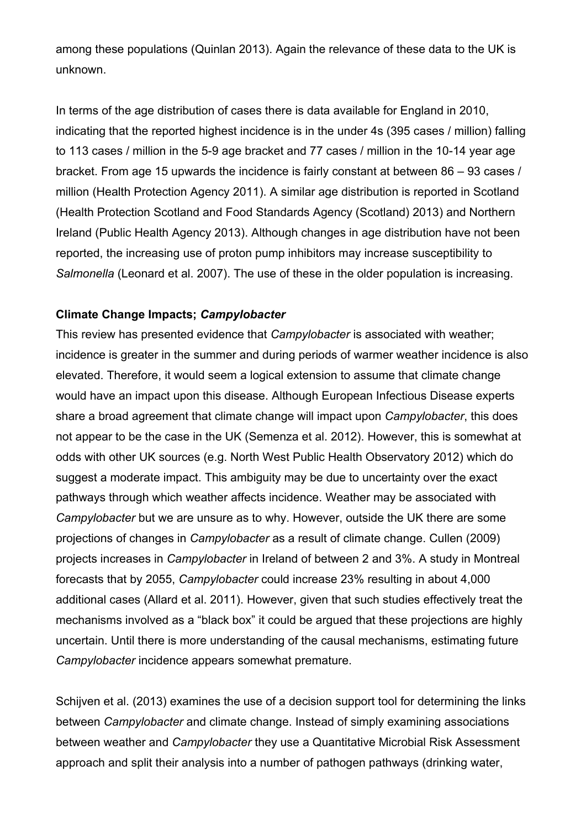among these populations [\(Quinlan 2013\)](#page-18-10). Again the relevance of these data to the UK is unknown.

In terms of the age distribution of cases there is data available for England in 2010, indicating that the reported highest incidence is in the under 4s (395 cases / million) falling to 113 cases / million in the 5-9 age bracket and 77 cases / million in the 10-14 year age bracket. From age 15 upwards the incidence is fairly constant at between 86 – 93 cases / million [\(Health Protection Agency 2011\)](#page-16-4). A similar age distribution is reported in Scotland [\(Health Protection Scotland and Food Standards Agency \(Scotland\) 2013\)](#page-16-10) and Northern Ireland [\(Public Health Agency 2013\)](#page-18-3). Although changes in age distribution have not been reported, the increasing use of proton pump inhibitors may increase susceptibility to *Salmonella* [\(Leonard et al. 2007\)](#page-17-11). The use of these in the older population is increasing.

# **Climate Change Impacts;** *Campylobacter*

This review has presented evidence that *Campylobacter* is associated with weather; incidence is greater in the summer and during periods of warmer weather incidence is also elevated. Therefore, it would seem a logical extension to assume that climate change would have an impact upon this disease. Although European Infectious Disease experts share a broad agreement that climate change will impact upon *Campylobacter*, this does not appear to be the case in the UK [\(Semenza et al. 2012\)](#page-18-11). However, this is somewhat at odds with other UK sources [\(e.g. North West Public Health Observatory 2012\)](#page-18-12) which do suggest a moderate impact. This ambiguity may be due to uncertainty over the exact pathways through which weather affects incidence. Weather may be associated with *Campylobacter* but we are unsure as to why. However, outside the UK there are some projections of changes in *Campylobacter* as a result of climate change. Cullen [\(2009\)](#page-15-9) projects increases in *Campylobacter* in Ireland of between 2 and 3%. A study in Montreal forecasts that by 2055, *Campylobacter* could increase 23% resulting in about 4,000 additional cases [\(Allard et al. 2011\)](#page-15-10). However, given that such studies effectively treat the mechanisms involved as a "black box" it could be argued that these projections are highly uncertain. Until there is more understanding of the causal mechanisms, estimating future *Campylobacter* incidence appears somewhat premature.

[Schijven et al. \(2013\)](#page-18-13) examines the use of a decision support tool for determining the links between *Campylobacter* and climate change. Instead of simply examining associations between weather and *Campylobacter* they use a Quantitative Microbial Risk Assessment approach and split their analysis into a number of pathogen pathways (drinking water,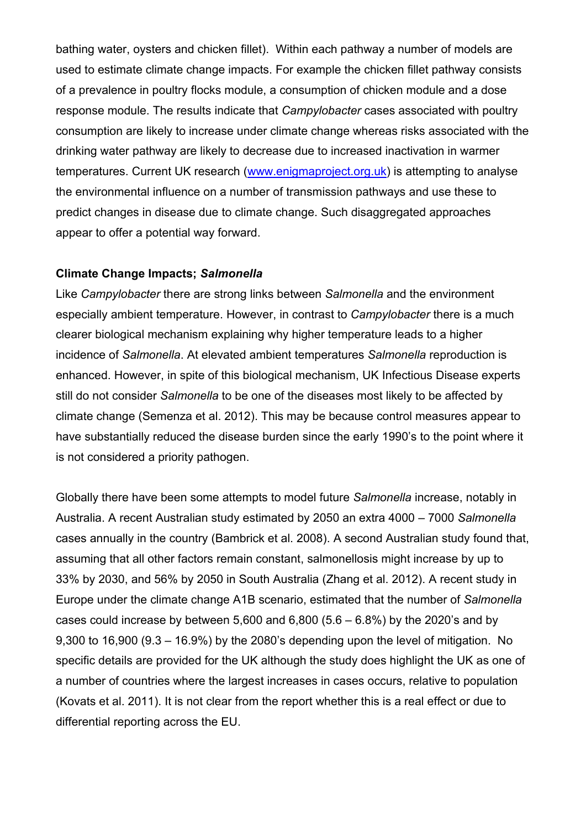bathing water, oysters and chicken fillet). Within each pathway a number of models are used to estimate climate change impacts. For example the chicken fillet pathway consists of a prevalence in poultry flocks module, a consumption of chicken module and a dose response module. The results indicate that *Campylobacter* cases associated with poultry consumption are likely to increase under climate change whereas risks associated with the drinking water pathway are likely to decrease due to increased inactivation in warmer temperatures. Current UK research [\(www.enigmaproject.org.uk\)](http://www.enigmaproject.org.uk/) is attempting to analyse the environmental influence on a number of transmission pathways and use these to predict changes in disease due to climate change. Such disaggregated approaches appear to offer a potential way forward.

## **Climate Change Impacts;** *Salmonella*

Like *Campylobacter* there are strong links between *Salmonella* and the environment especially ambient temperature. However, in contrast to *Campylobacter* there is a much clearer biological mechanism explaining why higher temperature leads to a higher incidence of *Salmonella*. At elevated ambient temperatures *Salmonella* reproduction is enhanced. However, in spite of this biological mechanism, UK Infectious Disease experts still do not consider *Salmonella* to be one of the diseases most likely to be affected by climate change [\(Semenza et al. 2012\)](#page-18-11). This may be because control measures appear to have substantially reduced the disease burden since the early 1990's to the point where it is not considered a priority pathogen.

Globally there have been some attempts to model future *Salmonella* increase, notably in Australia. A recent Australian study estimated by 2050 an extra 4000 – 7000 *Salmonella* cases annually in the country [\(Bambrick et al. 2008\)](#page-15-11). A second Australian study found that, assuming that all other factors remain constant, salmonellosis might increase by up to 33% by 2030, and 56% by 2050 in South Australia [\(Zhang et al. 2012\)](#page-19-4). A recent study in Europe under the climate change A1B scenario, estimated that the number of *Salmonella* cases could increase by between 5,600 and 6,800  $(5.6 - 6.8%)$  by the 2020's and by 9,300 to 16,900 (9.3 – 16.9%) by the 2080's depending upon the level of mitigation. No specific details are provided for the UK although the study does highlight the UK as one of a number of countries where the largest increases in cases occurs, relative to population [\(Kovats et al. 2011\)](#page-17-12). It is not clear from the report whether this is a real effect or due to differential reporting across the EU.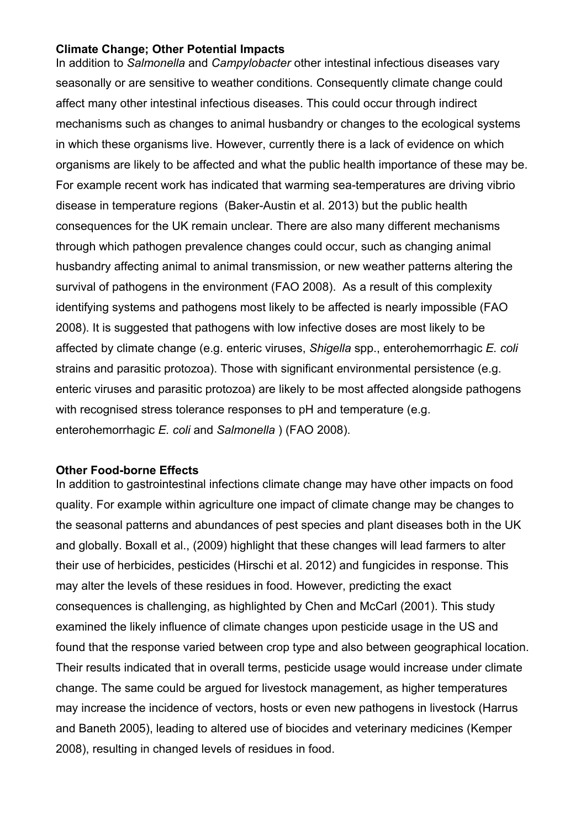## **Climate Change; Other Potential Impacts**

In addition to *Salmonella* and *Campylobacter* other intestinal infectious diseases vary seasonally or are sensitive to weather conditions. Consequently climate change could affect many other intestinal infectious diseases. This could occur through indirect mechanisms such as changes to animal husbandry or changes to the ecological systems in which these organisms live. However, currently there is a lack of evidence on which organisms are likely to be affected and what the public health importance of these may be. For example recent work has indicated that warming sea-temperatures are driving vibrio disease in temperature regions [\(Baker-Austin et al. 2013\)](#page-15-12) but the public health consequences for the UK remain unclear. There are also many different mechanisms through which pathogen prevalence changes could occur, such as changing animal husbandry affecting animal to animal transmission, or new weather patterns altering the survival of pathogens in the environment [\(FAO 2008\)](#page-16-11). As a result of this complexity identifying systems and pathogens most likely to be affected is nearly impossible [\(FAO](#page-16-11)  [2008\)](#page-16-11). It is suggested that pathogens with low infective doses are most likely to be affected by climate change (e.g. enteric viruses, *Shigella* spp., enterohemorrhagic *E. coli* strains and parasitic protozoa). Those with significant environmental persistence (e.g. enteric viruses and parasitic protozoa) are likely to be most affected alongside pathogens with recognised stress tolerance responses to pH and temperature (e.g. enterohemorrhagic *E. coli* and *Salmonella* ) [\(FAO 2008\)](#page-16-11).

#### **Other Food-borne Effects**

In addition to gastrointestinal infections climate change may have other impacts on food quality. For example within agriculture one impact of climate change may be changes to the seasonal patterns and abundances of pest species and plant diseases both in the UK and globally. Boxall et al., [\(2009\)](#page-15-13) highlight that these changes will lead farmers to alter their use of herbicides, pesticides [\(Hirschi et al. 2012\)](#page-16-12) and fungicides in response. This may alter the levels of these residues in food. However, predicting the exact consequences is challenging, as highlighted by Chen and McCarl [\(2001\)](#page-15-14). This study examined the likely influence of climate changes upon pesticide usage in the US and found that the response varied between crop type and also between geographical location. Their results indicated that in overall terms, pesticide usage would increase under climate change. The same could be argued for livestock management, as higher temperatures may increase the incidence of vectors, hosts or even new pathogens in livestock [\(Harrus](#page-16-13)  [and Baneth 2005\)](#page-16-13), leading to altered use of biocides and veterinary medicines [\(Kemper](#page-17-13)  [2008\)](#page-17-13), resulting in changed levels of residues in food.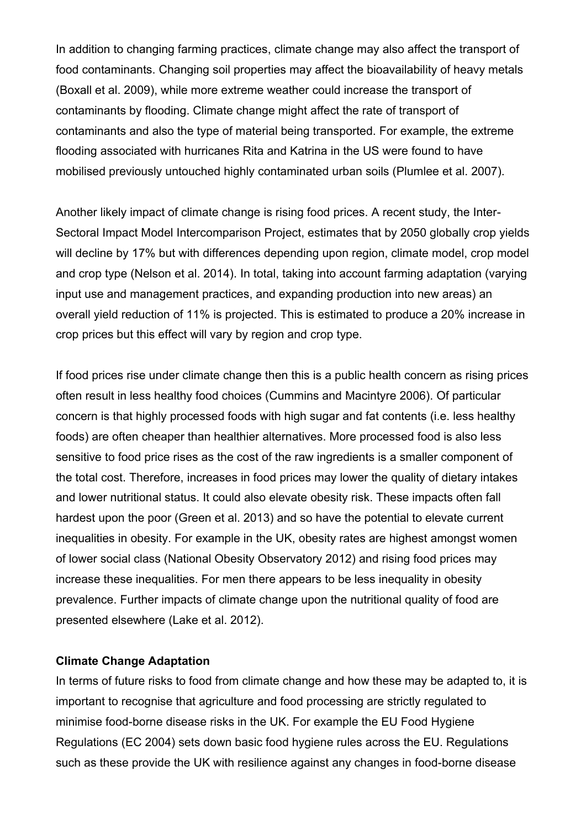In addition to changing farming practices, climate change may also affect the transport of food contaminants. Changing soil properties may affect the bioavailability of heavy metals [\(Boxall et al. 2009\)](#page-15-13), while more extreme weather could increase the transport of contaminants by flooding. Climate change might affect the rate of transport of contaminants and also the type of material being transported. For example, the extreme flooding associated with hurricanes Rita and Katrina in the US were found to have mobilised previously untouched highly contaminated urban soils [\(Plumlee et al. 2007\)](#page-18-14).

Another likely impact of climate change is rising food prices. A recent study, the Inter-Sectoral Impact Model Intercomparison Project, estimates that by 2050 globally crop yields will decline by 17% but with differences depending upon region, climate model, crop model and crop type [\(Nelson et al. 2014\)](#page-18-15). In total, taking into account farming adaptation (varying input use and management practices, and expanding production into new areas) an overall yield reduction of 11% is projected. This is estimated to produce a 20% increase in crop prices but this effect will vary by region and crop type.

If food prices rise under climate change then this is a public health concern as rising prices often result in less healthy food choices [\(Cummins and Macintyre 2006\)](#page-15-15). Of particular concern is that highly processed foods with high sugar and fat contents (i.e. less healthy foods) are often cheaper than healthier alternatives. More processed food is also less sensitive to food price rises as the cost of the raw ingredients is a smaller component of the total cost. Therefore, increases in food prices may lower the quality of dietary intakes and lower nutritional status. It could also elevate obesity risk. These impacts often fall hardest upon the poor [\(Green et al. 2013\)](#page-16-14) and so have the potential to elevate current inequalities in obesity. For example in the UK, obesity rates are highest amongst women of lower social class [\(National Obesity Observatory 2012\)](#page-17-14) and rising food prices may increase these inequalities. For men there appears to be less inequality in obesity prevalence. Further impacts of climate change upon the nutritional quality of food are presented elsewhere [\(Lake et al. 2012\)](#page-17-0).

#### **Climate Change Adaptation**

In terms of future risks to food from climate change and how these may be adapted to, it is important to recognise that agriculture and food processing are strictly regulated to minimise food-borne disease risks in the UK. For example the EU Food Hygiene Regulations [\(EC 2004\)](#page-16-15) sets down basic food hygiene rules across the EU. Regulations such as these provide the UK with resilience against any changes in food-borne disease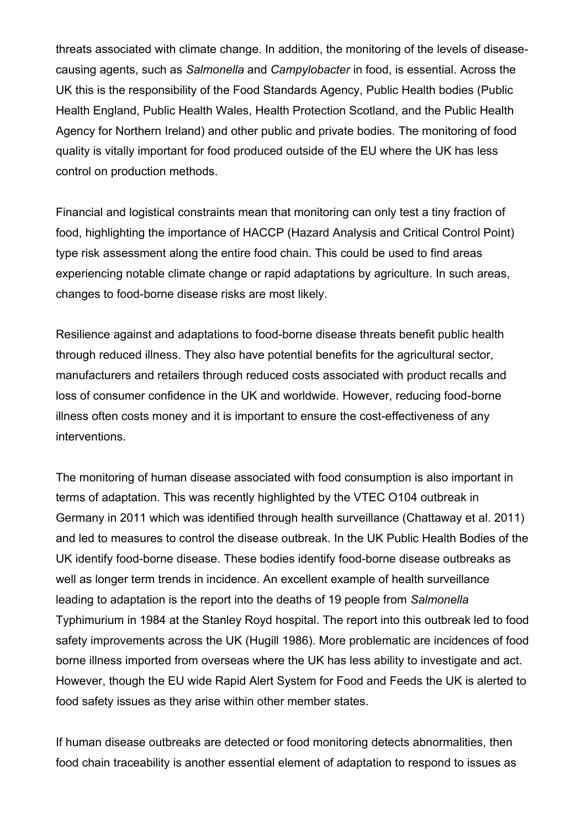threats associated with climate change. In addition, the monitoring of the levels of diseasecausing agents, such as *Salmonella* and *Campylobacter* in food, is essential. Across the UK this is the responsibility of the Food Standards Agency, Public Health bodies (Public Health England, Public Health Wales, Health Protection Scotland, and the Public Health Agency for Northern Ireland) and other public and private bodies. The monitoring of food quality is vitally important for food produced outside of the EU where the UK has less control on production methods.

Financial and logistical constraints mean that monitoring can only test a tiny fraction of food, highlighting the importance of HACCP (Hazard Analysis and Critical Control Point) type risk assessment along the entire food chain. This could be used to find areas experiencing notable climate change or rapid adaptations by agriculture. In such areas, changes to food-borne disease risks are most likely.

Resilience against and adaptations to food-borne disease threats benefit public health through reduced illness. They also have potential benefits for the agricultural sector, manufacturers and retailers through reduced costs associated with product recalls and loss of consumer confidence in the UK and worldwide. However, reducing food-borne illness often costs money and it is important to ensure the cost-effectiveness of any interventions.

The monitoring of human disease associated with food consumption is also important in terms of adaptation. This was recently highlighted by the VTEC O104 outbreak in Germany in 2011 which was identified through health surveillance [\(Chattaway et al. 2011\)](#page-15-16) and led to measures to control the disease outbreak. In the UK Public Health Bodies of the UK identify food-borne disease. These bodies identify food-borne disease outbreaks as well as longer term trends in incidence. An excellent example of health surveillance leading to adaptation is the report into the deaths of 19 people from *Salmonella* Typhimurium in 1984 at the Stanley Royd hospital. The report into this outbreak led to food safety improvements across the UK [\(Hugill 1986\)](#page-17-15). More problematic are incidences of food borne illness imported from overseas where the UK has less ability to investigate and act. However, though the EU wide Rapid Alert System for Food and Feeds the UK is alerted to food safety issues as they arise within other member states.

If human disease outbreaks are detected or food monitoring detects abnormalities, then food chain traceability is another essential element of adaptation to respond to issues as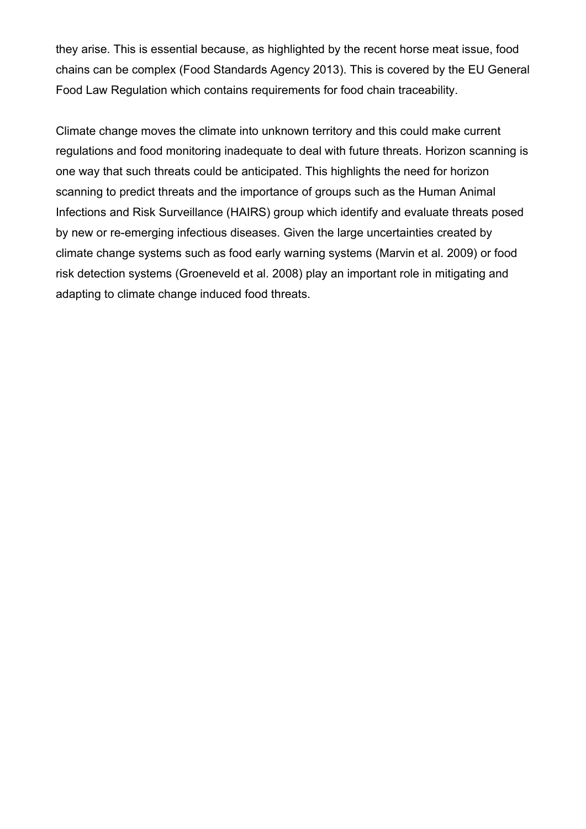they arise. This is essential because, as highlighted by the recent horse meat issue, food chains can be complex [\(Food Standards Agency 2013\)](#page-16-16). This is covered by the EU General Food Law Regulation which contains requirements for food chain traceability.

Climate change moves the climate into unknown territory and this could make current regulations and food monitoring inadequate to deal with future threats. Horizon scanning is one way that such threats could be anticipated. This highlights the need for horizon scanning to predict threats and the importance of groups such as the Human Animal Infections and Risk Surveillance (HAIRS) group which identify and evaluate threats posed by new or re-emerging infectious diseases. Given the large uncertainties created by climate change systems such as food early warning systems [\(Marvin et al. 2009\)](#page-17-16) or food risk detection systems [\(Groeneveld et al. 2008\)](#page-16-17) play an important role in mitigating and adapting to climate change induced food threats.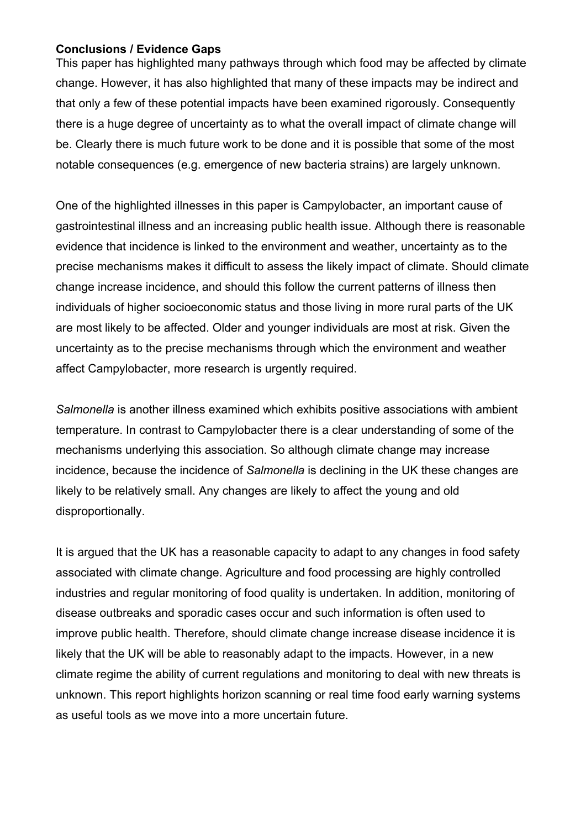# **Conclusions / Evidence Gaps**

This paper has highlighted many pathways through which food may be affected by climate change. However, it has also highlighted that many of these impacts may be indirect and that only a few of these potential impacts have been examined rigorously. Consequently there is a huge degree of uncertainty as to what the overall impact of climate change will be. Clearly there is much future work to be done and it is possible that some of the most notable consequences (e.g. emergence of new bacteria strains) are largely unknown.

One of the highlighted illnesses in this paper is Campylobacter, an important cause of gastrointestinal illness and an increasing public health issue. Although there is reasonable evidence that incidence is linked to the environment and weather, uncertainty as to the precise mechanisms makes it difficult to assess the likely impact of climate. Should climate change increase incidence, and should this follow the current patterns of illness then individuals of higher socioeconomic status and those living in more rural parts of the UK are most likely to be affected. Older and younger individuals are most at risk. Given the uncertainty as to the precise mechanisms through which the environment and weather affect Campylobacter, more research is urgently required.

*Salmonella* is another illness examined which exhibits positive associations with ambient temperature. In contrast to Campylobacter there is a clear understanding of some of the mechanisms underlying this association. So although climate change may increase incidence, because the incidence of *Salmonella* is declining in the UK these changes are likely to be relatively small. Any changes are likely to affect the young and old disproportionally.

It is argued that the UK has a reasonable capacity to adapt to any changes in food safety associated with climate change. Agriculture and food processing are highly controlled industries and regular monitoring of food quality is undertaken. In addition, monitoring of disease outbreaks and sporadic cases occur and such information is often used to improve public health. Therefore, should climate change increase disease incidence it is likely that the UK will be able to reasonably adapt to the impacts. However, in a new climate regime the ability of current regulations and monitoring to deal with new threats is unknown. This report highlights horizon scanning or real time food early warning systems as useful tools as we move into a more uncertain future.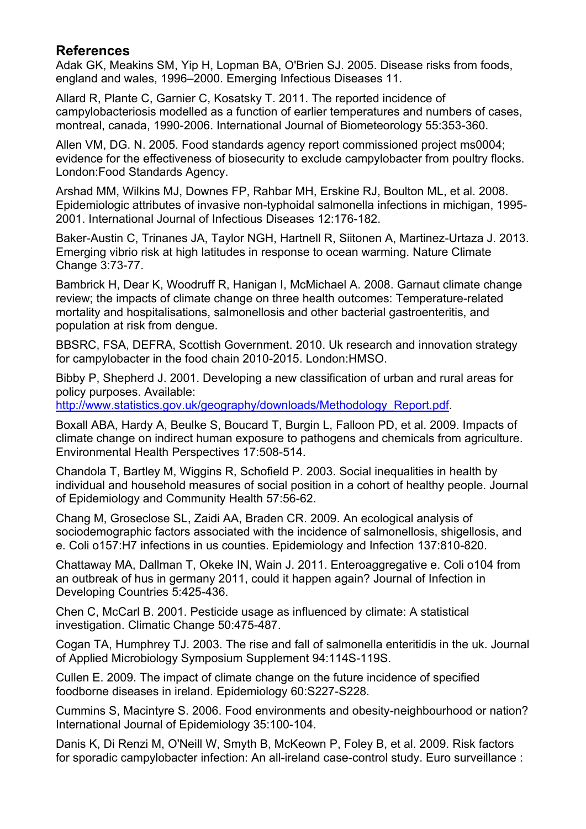# **References**

<span id="page-15-0"></span>Adak GK, Meakins SM, Yip H, Lopman BA, O'Brien SJ. 2005. Disease risks from foods, england and wales, 1996–2000. Emerging Infectious Diseases 11.

<span id="page-15-10"></span>Allard R, Plante C, Garnier C, Kosatsky T. 2011. The reported incidence of campylobacteriosis modelled as a function of earlier temperatures and numbers of cases, montreal, canada, 1990-2006. International Journal of Biometeorology 55:353-360.

<span id="page-15-2"></span>Allen VM, DG. N. 2005. Food standards agency report commissioned project ms0004; evidence for the effectiveness of biosecurity to exclude campylobacter from poultry flocks. London:Food Standards Agency.

<span id="page-15-7"></span>Arshad MM, Wilkins MJ, Downes FP, Rahbar MH, Erskine RJ, Boulton ML, et al. 2008. Epidemiologic attributes of invasive non-typhoidal salmonella infections in michigan, 1995- 2001. International Journal of Infectious Diseases 12:176-182.

<span id="page-15-12"></span>Baker-Austin C, Trinanes JA, Taylor NGH, Hartnell R, Siitonen A, Martinez-Urtaza J. 2013. Emerging vibrio risk at high latitudes in response to ocean warming. Nature Climate Change 3:73-77.

<span id="page-15-11"></span>Bambrick H, Dear K, Woodruff R, Hanigan I, McMichael A. 2008. Garnaut climate change review; the impacts of climate change on three health outcomes: Temperature-related mortality and hospitalisations, salmonellosis and other bacterial gastroenteritis, and population at risk from dengue.

<span id="page-15-1"></span>BBSRC, FSA, DEFRA, Scottish Government. 2010. Uk research and innovation strategy for campylobacter in the food chain 2010-2015. London:HMSO.

<span id="page-15-4"></span>Bibby P, Shepherd J. 2001. Developing a new classification of urban and rural areas for policy purposes. Available:

[http://www.statistics.gov.uk/geography/downloads/Methodology\\_Report.pdf.](http://www.statistics.gov.uk/geography/downloads/Methodology_Report.pdf)

<span id="page-15-13"></span>Boxall ABA, Hardy A, Beulke S, Boucard T, Burgin L, Falloon PD, et al. 2009. Impacts of climate change on indirect human exposure to pathogens and chemicals from agriculture. Environmental Health Perspectives 17:508-514.

<span id="page-15-5"></span>Chandola T, Bartley M, Wiggins R, Schofield P. 2003. Social inequalities in health by individual and household measures of social position in a cohort of healthy people. Journal of Epidemiology and Community Health 57:56-62.

<span id="page-15-8"></span>Chang M, Groseclose SL, Zaidi AA, Braden CR. 2009. An ecological analysis of sociodemographic factors associated with the incidence of salmonellosis, shigellosis, and e. Coli o157:H7 infections in us counties. Epidemiology and Infection 137:810-820.

<span id="page-15-16"></span>Chattaway MA, Dallman T, Okeke IN, Wain J. 2011. Enteroaggregative e. Coli o104 from an outbreak of hus in germany 2011, could it happen again? Journal of Infection in Developing Countries 5:425-436.

<span id="page-15-14"></span>Chen C, McCarl B. 2001. Pesticide usage as influenced by climate: A statistical investigation. Climatic Change 50:475-487.

<span id="page-15-6"></span>Cogan TA, Humphrey TJ. 2003. The rise and fall of salmonella enteritidis in the uk. Journal of Applied Microbiology Symposium Supplement 94:114S-119S.

<span id="page-15-9"></span>Cullen E. 2009. The impact of climate change on the future incidence of specified foodborne diseases in ireland. Epidemiology 60:S227-S228.

<span id="page-15-15"></span>Cummins S, Macintyre S. 2006. Food environments and obesity-neighbourhood or nation? International Journal of Epidemiology 35:100-104.

<span id="page-15-3"></span>Danis K, Di Renzi M, O'Neill W, Smyth B, McKeown P, Foley B, et al. 2009. Risk factors for sporadic campylobacter infection: An all-ireland case-control study. Euro surveillance :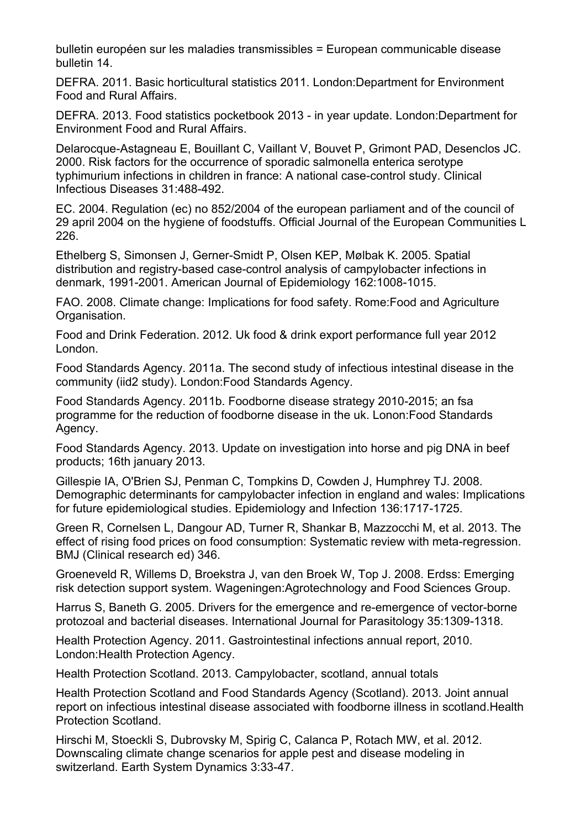bulletin européen sur les maladies transmissibles = European communicable disease bulletin 14.

<span id="page-16-2"></span>DEFRA. 2011. Basic horticultural statistics 2011. London:Department for Environment Food and Rural Affairs.

<span id="page-16-1"></span>DEFRA. 2013. Food statistics pocketbook 2013 - in year update. London:Department for Environment Food and Rural Affairs.

<span id="page-16-9"></span>Delarocque-Astagneau E, Bouillant C, Vaillant V, Bouvet P, Grimont PAD, Desenclos JC. 2000. Risk factors for the occurrence of sporadic salmonella enterica serotype typhimurium infections in children in france: A national case-control study. Clinical Infectious Diseases 31:488-492.

<span id="page-16-15"></span>EC. 2004. Regulation (ec) no 852/2004 of the european parliament and of the council of 29 april 2004 on the hygiene of foodstuffs. Official Journal of the European Communities L 226.

<span id="page-16-7"></span>Ethelberg S, Simonsen J, Gerner-Smidt P, Olsen KEP, Mølbak K. 2005. Spatial distribution and registry-based case-control analysis of campylobacter infections in denmark, 1991-2001. American Journal of Epidemiology 162:1008-1015.

<span id="page-16-11"></span>FAO. 2008. Climate change: Implications for food safety. Rome:Food and Agriculture Organisation.

<span id="page-16-3"></span>Food and Drink Federation. 2012. Uk food & drink export performance full year 2012 London.

<span id="page-16-0"></span>Food Standards Agency. 2011a. The second study of infectious intestinal disease in the community (iid2 study). London:Food Standards Agency.

<span id="page-16-6"></span>Food Standards Agency. 2011b. Foodborne disease strategy 2010-2015; an fsa programme for the reduction of foodborne disease in the uk. Lonon:Food Standards Agency.

<span id="page-16-16"></span>Food Standards Agency. 2013. Update on investigation into horse and pig DNA in beef products; 16th january 2013.

<span id="page-16-8"></span>Gillespie IA, O'Brien SJ, Penman C, Tompkins D, Cowden J, Humphrey TJ. 2008. Demographic determinants for campylobacter infection in england and wales: Implications for future epidemiological studies. Epidemiology and Infection 136:1717-1725.

<span id="page-16-14"></span>Green R, Cornelsen L, Dangour AD, Turner R, Shankar B, Mazzocchi M, et al. 2013. The effect of rising food prices on food consumption: Systematic review with meta-regression. BMJ (Clinical research ed) 346.

<span id="page-16-17"></span>Groeneveld R, Willems D, Broekstra J, van den Broek W, Top J. 2008. Erdss: Emerging risk detection support system. Wageningen:Agrotechnology and Food Sciences Group.

<span id="page-16-13"></span>Harrus S, Baneth G. 2005. Drivers for the emergence and re-emergence of vector-borne protozoal and bacterial diseases. International Journal for Parasitology 35:1309-1318.

<span id="page-16-4"></span>Health Protection Agency. 2011. Gastrointestinal infections annual report, 2010. London:Health Protection Agency.

<span id="page-16-5"></span>Health Protection Scotland. 2013. Campylobacter, scotland, annual totals

<span id="page-16-10"></span>Health Protection Scotland and Food Standards Agency (Scotland). 2013. Joint annual report on infectious intestinal disease associated with foodborne illness in scotland.Health Protection Scotland.

<span id="page-16-12"></span>Hirschi M, Stoeckli S, Dubrovsky M, Spirig C, Calanca P, Rotach MW, et al. 2012. Downscaling climate change scenarios for apple pest and disease modeling in switzerland. Earth System Dynamics 3:33-47.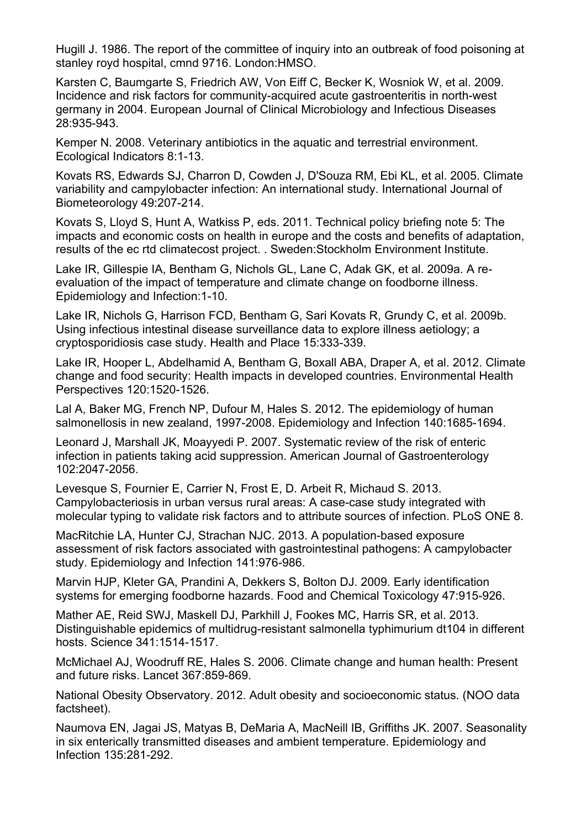<span id="page-17-15"></span>Hugill J. 1986. The report of the committee of inquiry into an outbreak of food poisoning at stanley royd hospital, cmnd 9716. London:HMSO.

<span id="page-17-8"></span>Karsten C, Baumgarte S, Friedrich AW, Von Eiff C, Becker K, Wosniok W, et al. 2009. Incidence and risk factors for community-acquired acute gastroenteritis in north-west germany in 2004. European Journal of Clinical Microbiology and Infectious Diseases 28:935-943.

<span id="page-17-13"></span>Kemper N. 2008. Veterinary antibiotics in the aquatic and terrestrial environment. Ecological Indicators 8:1-13.

<span id="page-17-3"></span>Kovats RS, Edwards SJ, Charron D, Cowden J, D'Souza RM, Ebi KL, et al. 2005. Climate variability and campylobacter infection: An international study. International Journal of Biometeorology 49:207-214.

<span id="page-17-12"></span>Kovats S, Lloyd S, Hunt A, Watkiss P, eds. 2011. Technical policy briefing note 5: The impacts and economic costs on health in europe and the costs and benefits of adaptation, results of the ec rtd climatecost project. . Sweden:Stockholm Environment Institute.

<span id="page-17-2"></span>Lake IR, Gillespie IA, Bentham G, Nichols GL, Lane C, Adak GK, et al. 2009a. A reevaluation of the impact of temperature and climate change on foodborne illness. Epidemiology and Infection:1-10.

<span id="page-17-6"></span>Lake IR, Nichols G, Harrison FCD, Bentham G, Sari Kovats R, Grundy C, et al. 2009b. Using infectious intestinal disease surveillance data to explore illness aetiology; a cryptosporidiosis case study. Health and Place 15:333-339.

<span id="page-17-0"></span>Lake IR, Hooper L, Abdelhamid A, Bentham G, Boxall ABA, Draper A, et al. 2012. Climate change and food security: Health impacts in developed countries. Environmental Health Perspectives 120:1520-1526.

<span id="page-17-9"></span>Lal A, Baker MG, French NP, Dufour M, Hales S. 2012. The epidemiology of human salmonellosis in new zealand, 1997-2008. Epidemiology and Infection 140:1685-1694.

<span id="page-17-11"></span>Leonard J, Marshall JK, Moayyedi P. 2007. Systematic review of the risk of enteric infection in patients taking acid suppression. American Journal of Gastroenterology 102:2047-2056.

<span id="page-17-5"></span>Levesque S, Fournier E, Carrier N, Frost E, D. Arbeit R, Michaud S. 2013. Campylobacteriosis in urban versus rural areas: A case-case study integrated with molecular typing to validate risk factors and to attribute sources of infection. PLoS ONE 8.

<span id="page-17-7"></span>MacRitchie LA, Hunter CJ, Strachan NJC. 2013. A population-based exposure assessment of risk factors associated with gastrointestinal pathogens: A campylobacter study. Epidemiology and Infection 141:976-986.

<span id="page-17-16"></span>Marvin HJP, Kleter GA, Prandini A, Dekkers S, Bolton DJ. 2009. Early identification systems for emerging foodborne hazards. Food and Chemical Toxicology 47:915-926.

<span id="page-17-10"></span>Mather AE, Reid SWJ, Maskell DJ, Parkhill J, Fookes MC, Harris SR, et al. 2013. Distinguishable epidemics of multidrug-resistant salmonella typhimurium dt104 in different hosts. Science 341:1514-1517.

<span id="page-17-1"></span>McMichael AJ, Woodruff RE, Hales S. 2006. Climate change and human health: Present and future risks. Lancet 367:859-869.

<span id="page-17-14"></span>National Obesity Observatory. 2012. Adult obesity and socioeconomic status. (NOO data factsheet).

<span id="page-17-4"></span>Naumova EN, Jagai JS, Matyas B, DeMaria A, MacNeill IB, Griffiths JK. 2007. Seasonality in six enterically transmitted diseases and ambient temperature. Epidemiology and Infection 135:281-292.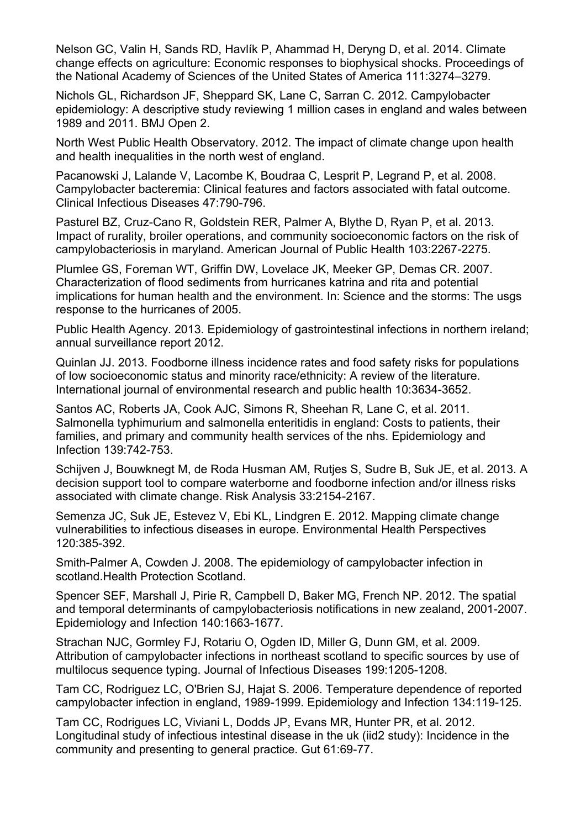<span id="page-18-15"></span>Nelson GC, Valin H, Sands RD, Havlík P, Ahammad H, Deryng D, et al. 2014. Climate change effects on agriculture: Economic responses to biophysical shocks. Proceedings of the National Academy of Sciences of the United States of America 111:3274–3279.

<span id="page-18-0"></span>Nichols GL, Richardson JF, Sheppard SK, Lane C, Sarran C. 2012. Campylobacter epidemiology: A descriptive study reviewing 1 million cases in england and wales between 1989 and 2011. BMJ Open 2.

<span id="page-18-12"></span>North West Public Health Observatory. 2012. The impact of climate change upon health and health inequalities in the north west of england.

<span id="page-18-8"></span>Pacanowski J, Lalande V, Lacombe K, Boudraa C, Lesprit P, Legrand P, et al. 2008. Campylobacter bacteremia: Clinical features and factors associated with fatal outcome. Clinical Infectious Diseases 47:790-796.

<span id="page-18-4"></span>Pasturel BZ, Cruz-Cano R, Goldstein RER, Palmer A, Blythe D, Ryan P, et al. 2013. Impact of rurality, broiler operations, and community socioeconomic factors on the risk of campylobacteriosis in maryland. American Journal of Public Health 103:2267-2275.

<span id="page-18-14"></span>Plumlee GS, Foreman WT, Griffin DW, Lovelace JK, Meeker GP, Demas CR. 2007. Characterization of flood sediments from hurricanes katrina and rita and potential implications for human health and the environment. In: Science and the storms: The usgs response to the hurricanes of 2005.

<span id="page-18-3"></span>Public Health Agency. 2013. Epidemiology of gastrointestinal infections in northern ireland; annual surveillance report 2012.

<span id="page-18-10"></span>Quinlan JJ. 2013. Foodborne illness incidence rates and food safety risks for populations of low socioeconomic status and minority race/ethnicity: A review of the literature. International journal of environmental research and public health 10:3634-3652.

<span id="page-18-9"></span>Santos AC, Roberts JA, Cook AJC, Simons R, Sheehan R, Lane C, et al. 2011. Salmonella typhimurium and salmonella enteritidis in england: Costs to patients, their families, and primary and community health services of the nhs. Epidemiology and Infection 139:742-753.

<span id="page-18-13"></span>Schijven J, Bouwknegt M, de Roda Husman AM, Rutjes S, Sudre B, Suk JE, et al. 2013. A decision support tool to compare waterborne and foodborne infection and/or illness risks associated with climate change. Risk Analysis 33:2154-2167.

<span id="page-18-11"></span>Semenza JC, Suk JE, Estevez V, Ebi KL, Lindgren E. 2012. Mapping climate change vulnerabilities to infectious diseases in europe. Environmental Health Perspectives 120:385-392.

<span id="page-18-7"></span>Smith-Palmer A, Cowden J. 2008. The epidemiology of campylobacter infection in scotland.Health Protection Scotland.

<span id="page-18-5"></span>Spencer SEF, Marshall J, Pirie R, Campbell D, Baker MG, French NP. 2012. The spatial and temporal determinants of campylobacteriosis notifications in new zealand, 2001-2007. Epidemiology and Infection 140:1663-1677.

<span id="page-18-6"></span>Strachan NJC, Gormley FJ, Rotariu O, Ogden ID, Miller G, Dunn GM, et al. 2009. Attribution of campylobacter infections in northeast scotland to specific sources by use of multilocus sequence typing. Journal of Infectious Diseases 199:1205-1208.

<span id="page-18-1"></span>Tam CC, Rodriguez LC, O'Brien SJ, Hajat S. 2006. Temperature dependence of reported campylobacter infection in england, 1989-1999. Epidemiology and Infection 134:119-125.

<span id="page-18-2"></span>Tam CC, Rodrigues LC, Viviani L, Dodds JP, Evans MR, Hunter PR, et al. 2012. Longitudinal study of infectious intestinal disease in the uk (iid2 study): Incidence in the community and presenting to general practice. Gut 61:69-77.